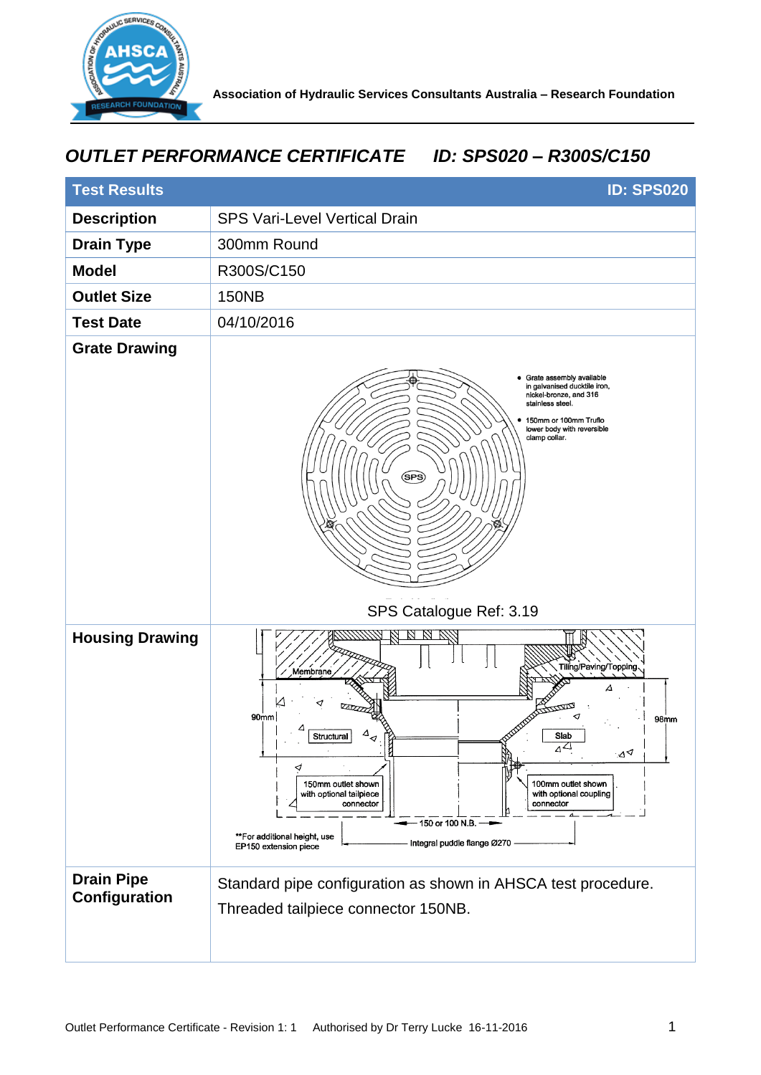

## *OUTLET PERFORMANCE CERTIFICATE ID: SPS020 – R300S/C150*